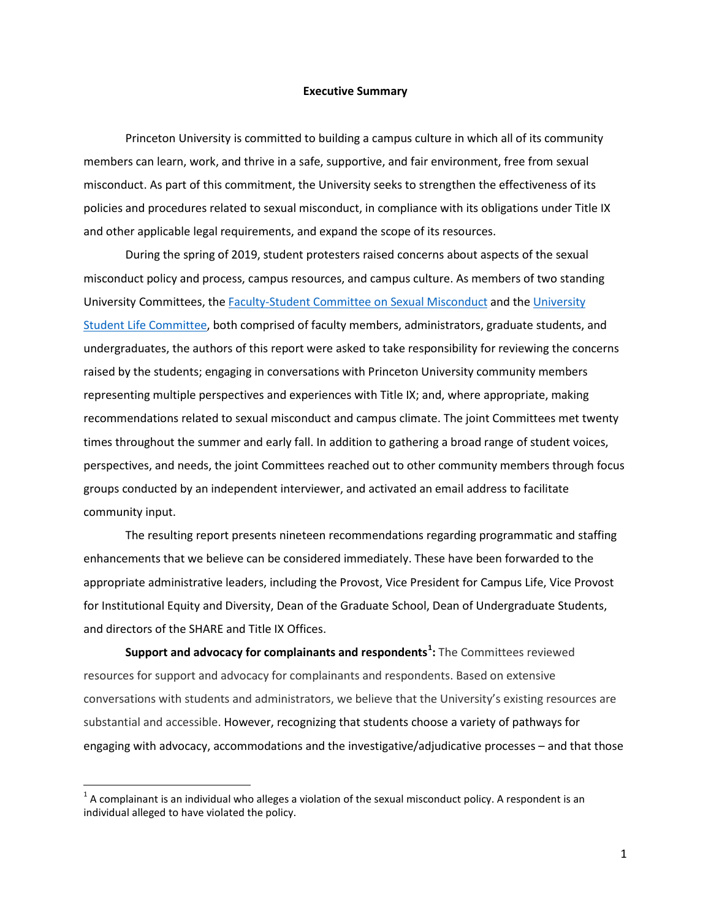## **Executive Summary**

 Princeton University is committed to building a campus culture in which all of its community members can learn, work, and thrive in a safe, supportive, and fair environment, free from sexual misconduct. As part of this commitment, the University seeks to strengthen the effectiveness of its policies and procedures related to sexual misconduct, in compliance with its obligations under Title IX and other applicable legal requirements, and expand the scope of its resources.

 misconduct policy and process, campus resources, and campus culture. As members of two standing undergraduates, the authors of this report were asked to take responsibility for reviewing the concerns raised by the students; engaging in conversations with Princeton University community members representing multiple perspectives and experiences with Title IX; and, where appropriate, making recommendations related to sexual misconduct and campus climate. The joint Committees met twenty times throughout the summer and early fall. In addition to gathering a broad range of student voices, During the spring of 2019, student protesters raised concerns about aspects of the sexual University Committees, th[e Faculty-Student Committee on Sexual Misconduct](https://sexualmisconduct.princeton.edu/faculty-student-committee) and the [University](https://static1.squarespace.com/static/5a46a96aace86433f0ea985b/t/5a6ddd3be2c4832dd2bc33ea/1517149500087/USLC+Charter.pdf)  [Student Life Committee,](https://static1.squarespace.com/static/5a46a96aace86433f0ea985b/t/5a6ddd3be2c4832dd2bc33ea/1517149500087/USLC+Charter.pdf) both comprised of faculty members, administrators, graduate students, and perspectives, and needs, the joint Committees reached out to other community members through focus groups conducted by an independent interviewer, and activated an email address to facilitate community input.

 The resulting report presents nineteen recommendations regarding programmatic and staffing appropriate administrative leaders, including the Provost, Vice President for Campus Life, Vice Provost enhancements that we believe can be considered immediately. These have been forwarded to the for Institutional Equity and Diversity, Dean of the Graduate School, Dean of Undergraduate Students, and directors of the SHARE and Title IX Offices.

 engaging with advocacy, accommodations and the investigative/adjudicative processes – and that those **Support and advocacy for complainants and respondents[1](#page-0-0) :** The Committees reviewed resources for support and advocacy for complainants and respondents. Based on extensive conversations with students and administrators, we believe that the University's existing resources are substantial and accessible. However, recognizing that students choose a variety of pathways for

 $\overline{a}$ 

<span id="page-0-0"></span> $1$  A complainant is an individual who alleges a violation of the sexual misconduct policy. A respondent is an individual alleged to have violated the policy.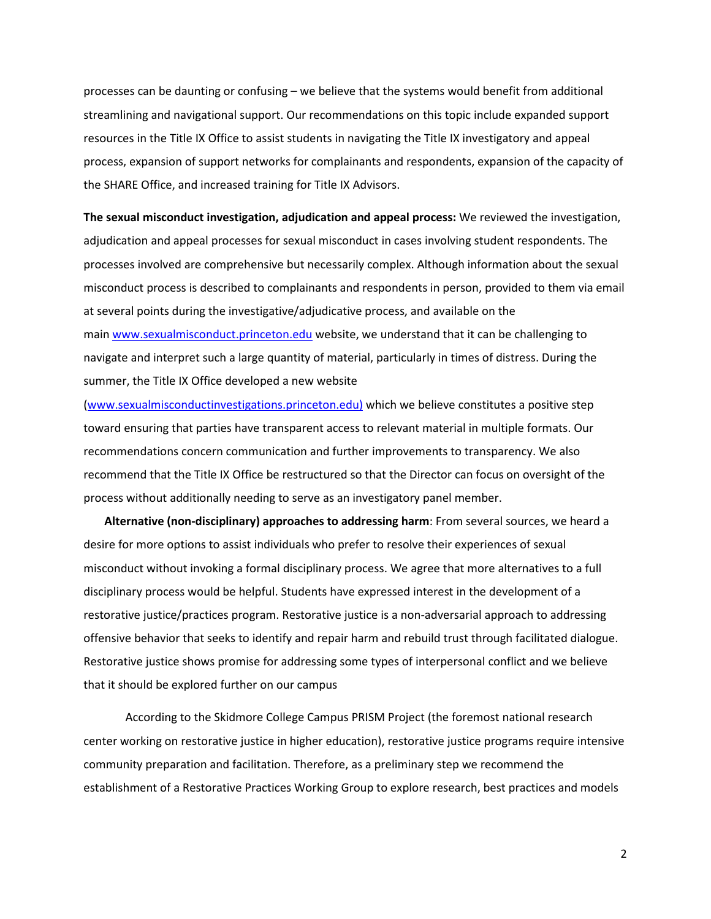processes can be daunting or confusing – we believe that the systems would benefit from additional streamlining and navigational support. Our recommendations on this topic include expanded support resources in the Title IX Office to assist students in navigating the Title IX investigatory and appeal process, expansion of support networks for complainants and respondents, expansion of the capacity of the SHARE Office, and increased training for Title IX Advisors.

 adjudication and appeal processes for sexual misconduct in cases involving student respondents. The at several points during the investigative/adjudicative process, and available on the **The sexual misconduct investigation, adjudication and appeal process:** We reviewed the investigation, processes involved are comprehensive but necessarily complex. Although information about the sexual misconduct process is described to complainants and respondents in person, provided to them via email main [www.sexualmisconduct.princeton.edu](https://sexualmisconduct.princeton.edu/) website, we understand that it can be challenging to navigate and interpret such a large quantity of material, particularly in times of distress. During the summer, the Title IX Office developed a new website

 toward ensuring that parties have transparent access to relevant material in multiple formats. Our recommendations concern communication and further improvements to transparency. We also recommend that the Title IX Office be restructured so that the Director can focus on oversight of the [\(www.sexualmisconductinvestigations.princeton.edu\)](https://sexualmisconduct.princeton.edu/investigations) which we believe constitutes a positive step process without additionally needing to serve as an investigatory panel member.

 desire for more options to assist individuals who prefer to resolve their experiences of sexual that it should be explored further on our campus **Alternative (non-disciplinary) approaches to addressing harm**: From several sources, we heard a misconduct without invoking a formal disciplinary process. We agree that more alternatives to a full disciplinary process would be helpful. Students have expressed interest in the development of a restorative justice/practices program. Restorative justice is a non-adversarial approach to addressing offensive behavior that seeks to identify and repair harm and rebuild trust through facilitated dialogue. Restorative justice shows promise for addressing some types of interpersonal conflict and we believe

 center working on restorative justice in higher education), restorative justice programs require intensive establishment of a Restorative Practices Working Group to explore research, best practices and models According to the Skidmore College Campus PRISM Project (the foremost national research community preparation and facilitation. Therefore, as a preliminary step we recommend the

2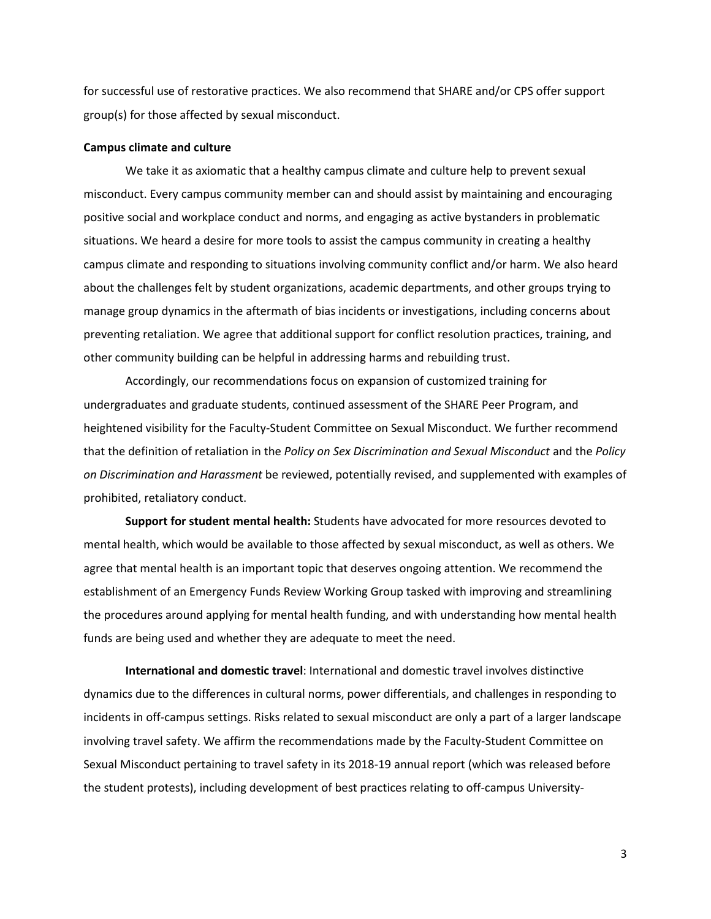for successful use of restorative practices. We also recommend that SHARE and/or CPS offer support group(s) for those affected by sexual misconduct.

## **Campus climate and culture**

 We take it as axiomatic that a healthy campus climate and culture help to prevent sexual misconduct. Every campus community member can and should assist by maintaining and encouraging positive social and workplace conduct and norms, and engaging as active bystanders in problematic situations. We heard a desire for more tools to assist the campus community in creating a healthy campus climate and responding to situations involving community conflict and/or harm. We also heard about the challenges felt by student organizations, academic departments, and other groups trying to manage group dynamics in the aftermath of bias incidents or investigations, including concerns about preventing retaliation. We agree that additional support for conflict resolution practices, training, and other community building can be helpful in addressing harms and rebuilding trust.

 Accordingly, our recommendations focus on expansion of customized training for *on Discrimination and Harassment* be reviewed, potentially revised, and supplemented with examples of undergraduates and graduate students, continued assessment of the SHARE Peer Program, and heightened visibility for the Faculty-Student Committee on Sexual Misconduct. We further recommend that the definition of retaliation in the *Policy on Sex Discrimination and Sexual Misconduct* and the *Policy*  prohibited, retaliatory conduct.

 **Support for student mental health:** Students have advocated for more resources devoted to mental health, which would be available to those affected by sexual misconduct, as well as others. We agree that mental health is an important topic that deserves ongoing attention. We recommend the establishment of an Emergency Funds Review Working Group tasked with improving and streamlining the procedures around applying for mental health funding, and with understanding how mental health funds are being used and whether they are adequate to meet the need.

 incidents in off-campus settings. Risks related to sexual misconduct are only a part of a larger landscape involving travel safety. We affirm the recommendations made by the Faculty-Student Committee on **International and domestic travel**: International and domestic travel involves distinctive dynamics due to the differences in cultural norms, power differentials, and challenges in responding to Sexual Misconduct pertaining to travel safety in its 2018-19 annual report (which was released before the student protests), including development of best practices relating to off-campus University